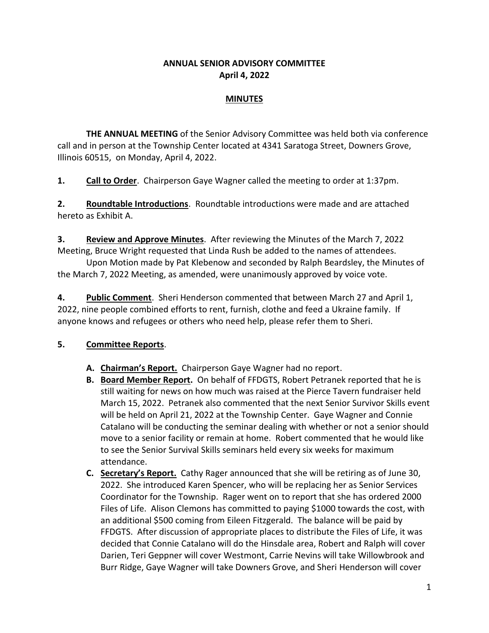#### **ANNUAL SENIOR ADVISORY COMMITTEE April 4, 2022**

#### **MINUTES**

**THE ANNUAL MEETING** of the Senior Advisory Committee was held both via conference call and in person at the Township Center located at 4341 Saratoga Street, Downers Grove, Illinois 60515, on Monday, April 4, 2022.

**1. Call to Order**. Chairperson Gaye Wagner called the meeting to order at 1:37pm.

**2. Roundtable Introductions**. Roundtable introductions were made and are attached hereto as Exhibit A.

**3. Review and Approve Minutes**. After reviewing the Minutes of the March 7, 2022 Meeting, Bruce Wright requested that Linda Rush be added to the names of attendees.

Upon Motion made by Pat Klebenow and seconded by Ralph Beardsley, the Minutes of the March 7, 2022 Meeting, as amended, were unanimously approved by voice vote.

**4. Public Comment**. Sheri Henderson commented that between March 27 and April 1, 2022, nine people combined efforts to rent, furnish, clothe and feed a Ukraine family. If anyone knows and refugees or others who need help, please refer them to Sheri.

### **5. Committee Reports**.

- **A. Chairman's Report.** Chairperson Gaye Wagner had no report.
- **B. Board Member Report.** On behalf of FFDGTS, Robert Petranek reported that he is still waiting for news on how much was raised at the Pierce Tavern fundraiser held March 15, 2022. Petranek also commented that the next Senior Survivor Skills event will be held on April 21, 2022 at the Township Center. Gaye Wagner and Connie Catalano will be conducting the seminar dealing with whether or not a senior should move to a senior facility or remain at home. Robert commented that he would like to see the Senior Survival Skills seminars held every six weeks for maximum attendance.
- **C. Secretary's Report.** Cathy Rager announced that she will be retiring as of June 30, 2022. She introduced Karen Spencer, who will be replacing her as Senior Services Coordinator for the Township. Rager went on to report that she has ordered 2000 Files of Life. Alison Clemons has committed to paying \$1000 towards the cost, with an additional \$500 coming from Eileen Fitzgerald. The balance will be paid by FFDGTS. After discussion of appropriate places to distribute the Files of Life, it was decided that Connie Catalano will do the Hinsdale area, Robert and Ralph will cover Darien, Teri Geppner will cover Westmont, Carrie Nevins will take Willowbrook and Burr Ridge, Gaye Wagner will take Downers Grove, and Sheri Henderson will cover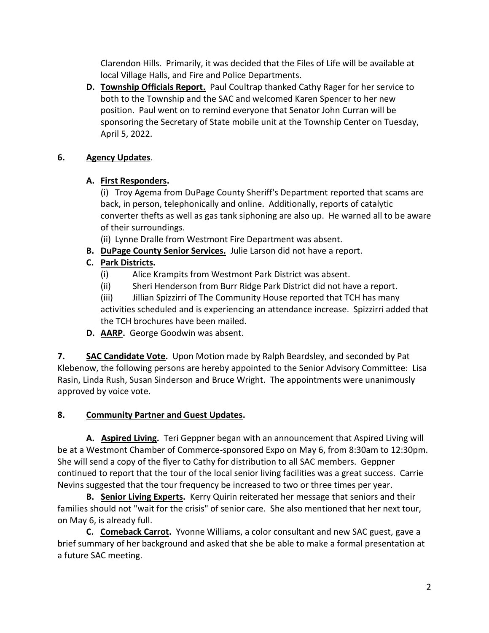Clarendon Hills. Primarily, it was decided that the Files of Life will be available at local Village Halls, and Fire and Police Departments.

**D. Township Officials Report.** Paul Coultrap thanked Cathy Rager for her service to both to the Township and the SAC and welcomed Karen Spencer to her new position. Paul went on to remind everyone that Senator John Curran will be sponsoring the Secretary of State mobile unit at the Township Center on Tuesday, April 5, 2022.

## **6. Agency Updates**.

## **A. First Responders.**

(i) Troy Agema from DuPage County Sheriff's Department reported that scams are back, in person, telephonically and online. Additionally, reports of catalytic converter thefts as well as gas tank siphoning are also up. He warned all to be aware of their surroundings.

(ii) Lynne Dralle from Westmont Fire Department was absent.

**B. DuPage County Senior Services.** Julie Larson did not have a report.

# **C. Park Districts.**

- (i) Alice Krampits from Westmont Park District was absent.
- (ii) Sheri Henderson from Burr Ridge Park District did not have a report.
- (iii) Jillian Spizzirri of The Community House reported that TCH has many activities scheduled and is experiencing an attendance increase. Spizzirri added that the TCH brochures have been mailed.
- **D. AARP.** George Goodwin was absent.

**7. SAC Candidate Vote.** Upon Motion made by Ralph Beardsley, and seconded by Pat Klebenow, the following persons are hereby appointed to the Senior Advisory Committee: Lisa Rasin, Linda Rush, Susan Sinderson and Bruce Wright. The appointments were unanimously approved by voice vote.

# **8. Community Partner and Guest Updates.**

**A. Aspired Living.** Teri Geppner began with an announcement that Aspired Living will be at a Westmont Chamber of Commerce-sponsored Expo on May 6, from 8:30am to 12:30pm. She will send a copy of the flyer to Cathy for distribution to all SAC members. Geppner continued to report that the tour of the local senior living facilities was a great success. Carrie Nevins suggested that the tour frequency be increased to two or three times per year.

**B. Senior Living Experts.** Kerry Quirin reiterated her message that seniors and their families should not "wait for the crisis" of senior care. She also mentioned that her next tour, on May 6, is already full.

**C. Comeback Carrot.** Yvonne Williams, a color consultant and new SAC guest, gave a brief summary of her background and asked that she be able to make a formal presentation at a future SAC meeting.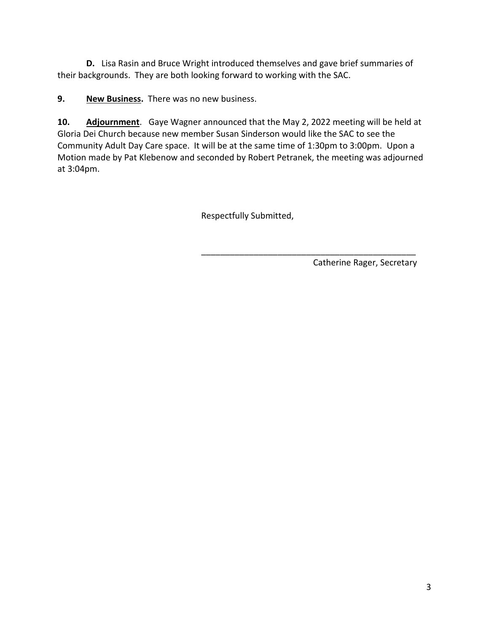**D.** Lisa Rasin and Bruce Wright introduced themselves and gave brief summaries of their backgrounds. They are both looking forward to working with the SAC.

**9. New Business.** There was no new business.

**10. Adjournment**. Gaye Wagner announced that the May 2, 2022 meeting will be held at Gloria Dei Church because new member Susan Sinderson would like the SAC to see the Community Adult Day Care space. It will be at the same time of 1:30pm to 3:00pm. Upon a Motion made by Pat Klebenow and seconded by Robert Petranek, the meeting was adjourned at 3:04pm.

Respectfully Submitted,

\_\_\_\_\_\_\_\_\_\_\_\_\_\_\_\_\_\_\_\_\_\_\_\_\_\_\_\_\_\_\_\_\_\_\_\_\_\_\_\_\_\_\_\_\_ Catherine Rager, Secretary